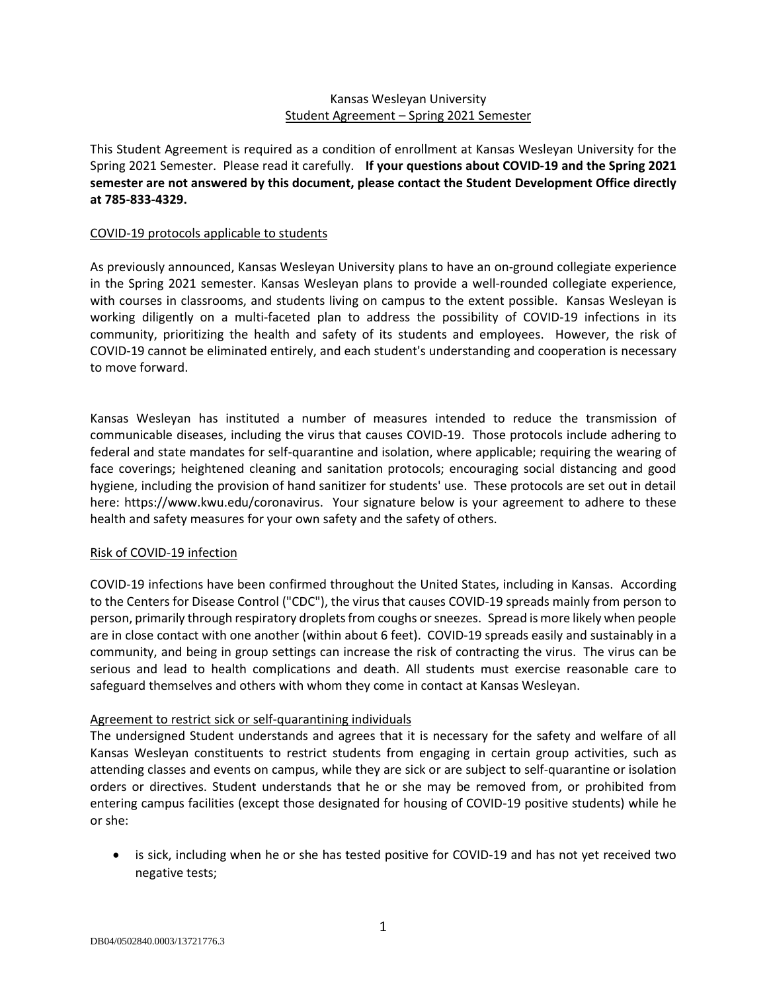### Kansas Wesleyan University Student Agreement – Spring 2021 Semester

This Student Agreement is required as a condition of enrollment at Kansas Wesleyan University for the Spring 2021 Semester. Please read it carefully. **If your questions about COVID-19 and the Spring 2021 semester are not answered by this document, please contact the Student Development Office directly at 785-833-4329.** 

#### COVID-19 protocols applicable to students

As previously announced, Kansas Wesleyan University plans to have an on-ground collegiate experience in the Spring 2021 semester. Kansas Wesleyan plans to provide a well-rounded collegiate experience, with courses in classrooms, and students living on campus to the extent possible. Kansas Wesleyan is working diligently on a multi-faceted plan to address the possibility of COVID-19 infections in its community, prioritizing the health and safety of its students and employees. However, the risk of COVID-19 cannot be eliminated entirely, and each student's understanding and cooperation is necessary to move forward.

Kansas Wesleyan has instituted a number of measures intended to reduce the transmission of communicable diseases, including the virus that causes COVID-19. Those protocols include adhering to federal and state mandates for self-quarantine and isolation, where applicable; requiring the wearing of face coverings; heightened cleaning and sanitation protocols; encouraging social distancing and good hygiene, including the provision of hand sanitizer for students' use. These protocols are set out in detail here: https://www.kwu.edu/coronavirus. Your signature below is your agreement to adhere to these health and safety measures for your own safety and the safety of others.

### Risk of COVID-19 infection

COVID-19 infections have been confirmed throughout the United States, including in Kansas. According to the Centers for Disease Control ("CDC"), the virus that causes COVID-19 spreads mainly from person to person, primarily through respiratory droplets from coughs or sneezes. Spread is more likely when people are in close contact with one another (within about 6 feet). COVID-19 spreads easily and sustainably in a community, and being in group settings can increase the risk of contracting the virus. The virus can be serious and lead to health complications and death. All students must exercise reasonable care to safeguard themselves and others with whom they come in contact at Kansas Wesleyan.

### Agreement to restrict sick or self-quarantining individuals

The undersigned Student understands and agrees that it is necessary for the safety and welfare of all Kansas Wesleyan constituents to restrict students from engaging in certain group activities, such as attending classes and events on campus, while they are sick or are subject to self-quarantine or isolation orders or directives. Student understands that he or she may be removed from, or prohibited from entering campus facilities (except those designated for housing of COVID-19 positive students) while he or she:

• is sick, including when he or she has tested positive for COVID-19 and has not yet received two negative tests;